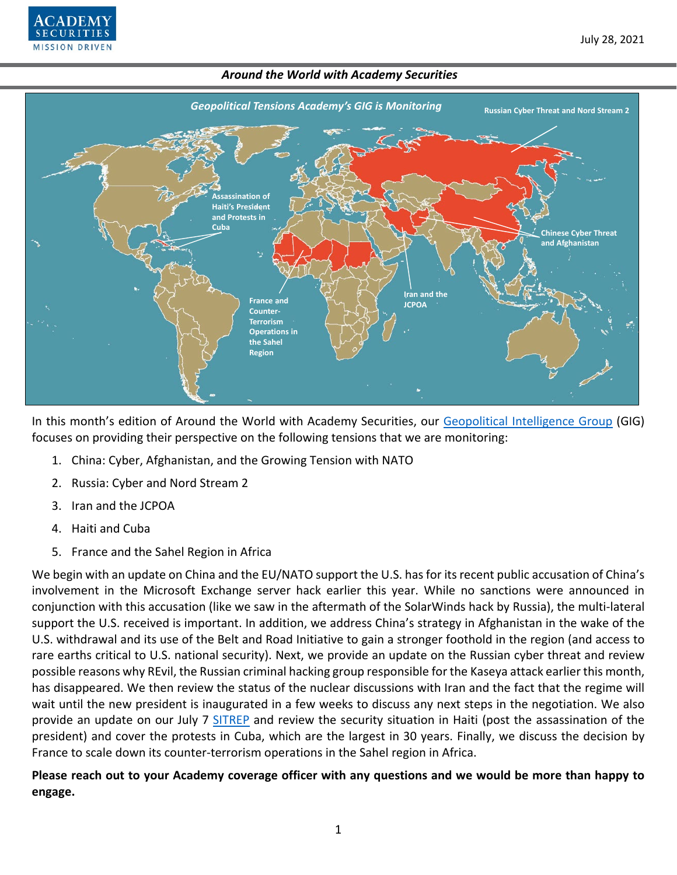



In this month's edition of Around the World with Academy Securities, our [Geopolitical Intelligence Group](https://www.academysecurities.com/geopolitical/geopolitical-intelligence-group/) (GIG) focuses on providing their perspective on the following tensions that we are monitoring:

- 1. China: Cyber, Afghanistan, and the Growing Tension with NATO
- 2. Russia: Cyber and Nord Stream 2
- 3. Iran and the JCPOA
- 4. Haiti and Cuba
- 5. France and the Sahel Region in Africa

We begin with an update on China and the EU/NATO support the U.S. has for its recent public accusation of China's involvement in the Microsoft Exchange server hack earlier this year. While no sanctions were announced in conjunction with this accusation (like we saw in the aftermath of the SolarWinds hack by Russia), the multi-lateral support the U.S. received is important. In addition, we address China's strategy in Afghanistan in the wake of the U.S. withdrawal and its use of the Belt and Road Initiative to gain a stronger foothold in the region (and access to rare earths critical to U.S. national security). Next, we provide an update on the Russian cyber threat and review possible reasons why REvil, the Russian criminal hacking group responsible for the Kaseya attack earlier this month, has disappeared. We then review the status of the nuclear discussions with Iran and the fact that the regime will wait until the new president is inaugurated in a few weeks to discuss any next steps in the negotiation. We also provide an update on our July 7 [SITREP](https://www.academysecurities.com/the-assassination-of-haitis-president-jovenel-moise/) and review the security situation in Haiti (post the assassination of the president) and cover the protests in Cuba, which are the largest in 30 years. Finally, we discuss the decision by France to scale down its counter-terrorism operations in the Sahel region in Africa.

**Please reach out to your Academy coverage officer with any questions and we would be more than happy to engage.**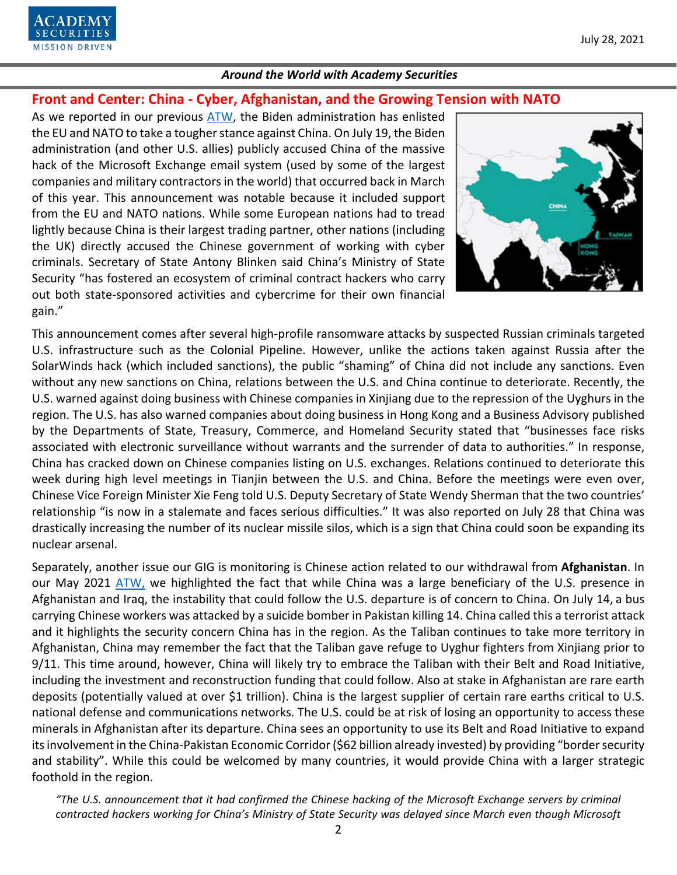

**Front and Center: China - Cyber, Afghanistan, and the Growing Tension with NATO** As we reported in our previous [ATW,](https://www.academysecurities.com/wordpress/wp-content/uploads/2021/06/Around-the-World-with-Academy-Securities-6-30-21.pdf) the Biden administration has enlisted the EU and NATO to take a tougher stance against China. On July 19, the Biden administration (and other U.S. allies) publicly accused China of the massive hack of the Microsoft Exchange email system (used by some of the largest companies and military contractors in the world) that occurred back in March of this year. This announcement was notable because it included support from the EU and NATO nations. While some European nations had to tread lightly because China is their largest trading partner, other nations (including the UK) directly accused the Chinese government of working with cyber criminals. Secretary of State Antony Blinken said China's Ministry of State Security "has fostered an ecosystem of criminal contract hackers who carry out both state-sponsored activities and cybercrime for their own financial gain."



This announcement comes after several high-profile ransomware attacks by suspected Russian criminals targeted U.S. infrastructure such as the Colonial Pipeline. However, unlike the actions taken against Russia after the SolarWinds hack (which included sanctions), the public "shaming" of China did not include any sanctions. Even without any new sanctions on China, relations between the U.S. and China continue to deteriorate. Recently, the U.S. warned against doing business with Chinese companies in Xinjiang due to the repression of the Uyghurs in the region. The U.S. has also warned companies about doing business in Hong Kong and a Business Advisory published by the Departments of State, Treasury, Commerce, and Homeland Security stated that "businesses face risks associated with electronic surveillance without warrants and the surrender of data to authorities." In response, China has cracked down on Chinese companies listing on U.S. exchanges. Relations continued to deteriorate this week during high level meetings in Tianjin between the U.S. and China. Before the meetings were even over, Chinese Vice Foreign Minister Xie Feng told U.S. Deputy Secretary of State Wendy Sherman that the two countries' relationship "is now in a stalemate and faces serious difficulties." It was also reported on July 28 that China was drastically increasing the number of its nuclear missile silos, which is a sign that China could soon be expanding its nuclear arsenal.

Separately, another issue our GIG is monitoring is Chinese action related to our withdrawal from **Afghanistan**. In our May 2021 [ATW,](https://www.academysecurities.com/wordpress/wp-content/uploads/2021/05/Around-the-World-with-Academy-Securities_5-27-21.pdf) we highlighted the fact that while China was a large beneficiary of the U.S. presence in Afghanistan and Iraq, the instability that could follow the U.S. departure is of concern to China. On July 14, a bus carrying Chinese workers was attacked by a suicide bomber in Pakistan killing 14. China called this a terrorist attack and it highlights the security concern China has in the region. As the Taliban continues to take more territory in Afghanistan, China may remember the fact that the Taliban gave refuge to Uyghur fighters from Xinjiang prior to 9/11. This time around, however, China will likely try to embrace the Taliban with their Belt and Road Initiative, including the investment and reconstruction funding that could follow. Also at stake in Afghanistan are rare earth deposits (potentially valued at over \$1 trillion). China is the largest supplier of certain rare earths critical to U.S. national defense and communications networks. The U.S. could be at risk of losing an opportunity to access these minerals in Afghanistan after its departure. China sees an opportunity to use its Belt and Road Initiative to expand its involvement in the China-Pakistan Economic Corridor (\$62 billion already invested) by providing "border security and stability". While this could be welcomed by many countries, it would provide China with a larger strategic foothold in the region.

*"The U.S. announcement that it had confirmed the Chinese hacking of the Microsoft Exchange servers by criminal contracted hackers working for China's Ministry of State Security was delayed since March even though Microsoft*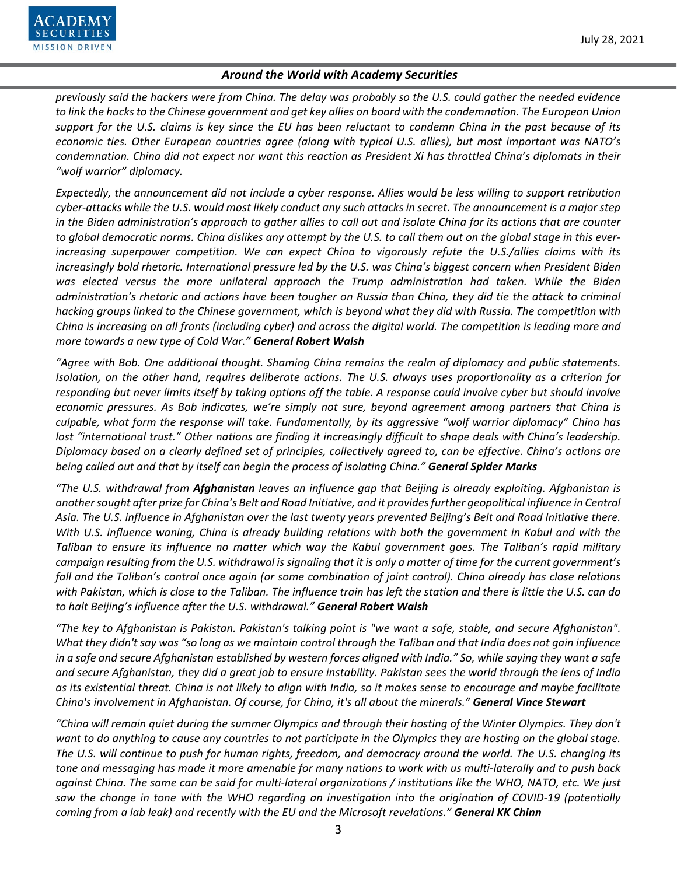

*previously said the hackers were from China. The delay was probably so the U.S. could gather the needed evidence to link the hacks to the Chinese government and get key allies on board with the condemnation. The European Union support for the U.S. claims is key since the EU has been reluctant to condemn China in the past because of its economic ties. Other European countries agree (along with typical U.S. allies), but most important was NATO's condemnation. China did not expect nor want this reaction as President Xi has throttled China's diplomats in their "wolf warrior" diplomacy.*

*Expectedly, the announcement did not include a cyber response. Allies would be less willing to support retribution cyber-attacks while the U.S. would most likely conduct any such attacks in secret. The announcement is a major step in the Biden administration's approach to gather allies to call out and isolate China for its actions that are counter to global democratic norms. China dislikes any attempt by the U.S. to call them out on the global stage in this everincreasing superpower competition. We can expect China to vigorously refute the U.S./allies claims with its increasingly bold rhetoric. International pressure led by the U.S. was China's biggest concern when President Biden was elected versus the more unilateral approach the Trump administration had taken. While the Biden administration's rhetoric and actions have been tougher on Russia than China, they did tie the attack to criminal hacking groups linked to the Chinese government, which is beyond what they did with Russia. The competition with China is increasing on all fronts (including cyber) and across the digital world. The competition is leading more and more towards a new type of Cold War." General Robert Walsh*

*"Agree with Bob. One additional thought. Shaming China remains the realm of diplomacy and public statements. Isolation, on the other hand, requires deliberate actions. The U.S. always uses proportionality as a criterion for responding but never limits itself by taking options off the table. A response could involve cyber but should involve economic pressures. As Bob indicates, we're simply not sure, beyond agreement among partners that China is culpable, what form the response will take. Fundamentally, by its aggressive "wolf warrior diplomacy" China has lost "international trust." Other nations are finding it increasingly difficult to shape deals with China's leadership. Diplomacy based on a clearly defined set of principles, collectively agreed to, can be effective. China's actions are being called out and that by itself can begin the process of isolating China." General Spider Marks*

*"The U.S. withdrawal from Afghanistan leaves an influence gap that Beijing is already exploiting. Afghanistan is another sought after prize for China's Belt and Road Initiative, and it provides further geopolitical influence in Central Asia. The U.S. influence in Afghanistan over the last twenty years prevented Beijing's Belt and Road Initiative there. With U.S. influence waning, China is already building relations with both the government in Kabul and with the Taliban to ensure its influence no matter which way the Kabul government goes. The Taliban's rapid military campaign resulting from the U.S. withdrawal is signaling that it is only a matter of time for the current government's fall and the Taliban's control once again (or some combination of joint control). China already has close relations with Pakistan, which is close to the Taliban. The influence train has left the station and there is little the U.S. can do to halt Beijing's influence after the U.S. withdrawal." General Robert Walsh*

*"The key to Afghanistan is Pakistan. Pakistan's talking point is "we want a safe, stable, and secure Afghanistan". What they didn't say was "so long as we maintain control through the Taliban and that India does not gain influence in a safe and secure Afghanistan established by western forces aligned with India." So, while saying they want a safe and secure Afghanistan, they did a great job to ensure instability. Pakistan sees the world through the lens of India as its existential threat. China is not likely to align with India, so it makes sense to encourage and maybe facilitate China's involvement in Afghanistan. Of course, for China, it's all about the minerals." General Vince Stewart*

*"China will remain quiet during the summer Olympics and through their hosting of the Winter Olympics. They don't want to do anything to cause any countries to not participate in the Olympics they are hosting on the global stage. The U.S. will continue to push for human rights, freedom, and democracy around the world. The U.S. changing its tone and messaging has made it more amenable for many nations to work with us multi-laterally and to push back against China. The same can be said for multi-lateral organizations / institutions like the WHO, NATO, etc. We just saw the change in tone with the WHO regarding an investigation into the origination of COVID-19 (potentially coming from a lab leak) and recently with the EU and the Microsoft revelations." General KK Chinn*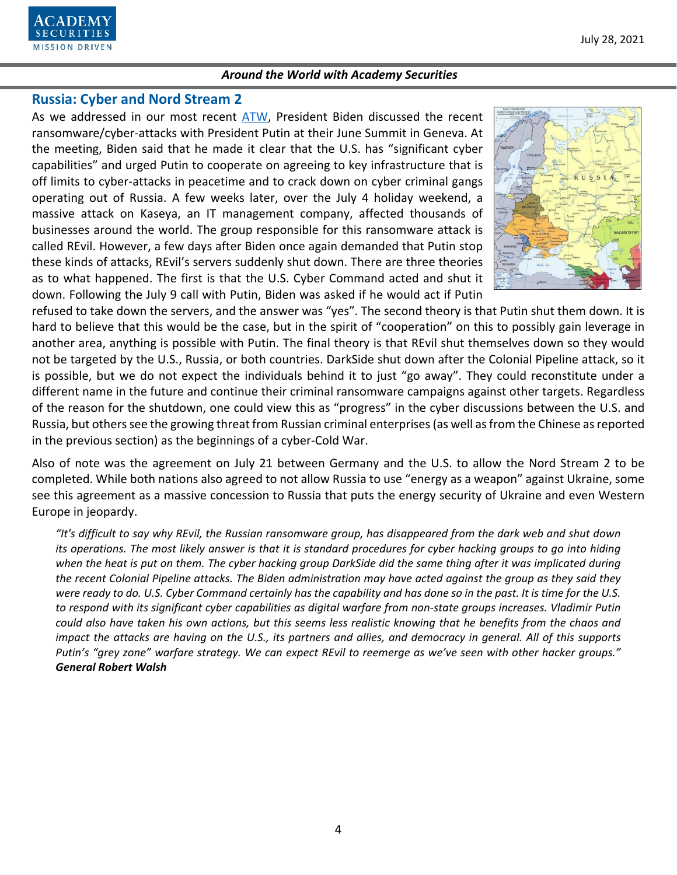

## **Russia: Cyber and Nord Stream 2**

As we addressed in our most recent [ATW,](https://www.academysecurities.com/wordpress/wp-content/uploads/2021/06/Around-the-World-with-Academy-Securities-6-30-21.pdf) President Biden discussed the recent ransomware/cyber-attacks with President Putin at their June Summit in Geneva. At the meeting, Biden said that he made it clear that the U.S. has "significant cyber capabilities" and urged Putin to cooperate on agreeing to key infrastructure that is off limits to cyber-attacks in peacetime and to crack down on cyber criminal gangs operating out of Russia. A few weeks later, over the July 4 holiday weekend, a massive attack on Kaseya, an IT management company, affected thousands of businesses around the world. The group responsible for this ransomware attack is called REvil. However, a few days after Biden once again demanded that Putin stop these kinds of attacks, REvil's servers suddenly shut down. There are three theories as to what happened. The first is that the U.S. Cyber Command acted and shut it down. Following the July 9 call with Putin, Biden was asked if he would act if Putin



refused to take down the servers, and the answer was "yes". The second theory is that Putin shut them down. It is hard to believe that this would be the case, but in the spirit of "cooperation" on this to possibly gain leverage in another area, anything is possible with Putin. The final theory is that REvil shut themselves down so they would not be targeted by the U.S., Russia, or both countries. DarkSide shut down after the Colonial Pipeline attack, so it is possible, but we do not expect the individuals behind it to just "go away". They could reconstitute under a different name in the future and continue their criminal ransomware campaigns against other targets. Regardless of the reason for the shutdown, one could view this as "progress" in the cyber discussions between the U.S. and Russia, but others see the growing threat from Russian criminal enterprises (as well as from the Chinese as reported in the previous section) as the beginnings of a cyber-Cold War.

Also of note was the agreement on July 21 between Germany and the U.S. to allow the Nord Stream 2 to be completed. While both nations also agreed to not allow Russia to use "energy as a weapon" against Ukraine, some see this agreement as a massive concession to Russia that puts the energy security of Ukraine and even Western Europe in jeopardy.

*"It's difficult to say why REvil, the Russian ransomware group, has disappeared from the dark web and shut down its operations. The most likely answer is that it is standard procedures for cyber hacking groups to go into hiding when the heat is put on them. The cyber hacking group DarkSide did the same thing after it was implicated during the recent Colonial Pipeline attacks. The Biden administration may have acted against the group as they said they were ready to do. U.S. Cyber Command certainly has the capability and has done so in the past. It is time for the U.S. to respond with its significant cyber capabilities as digital warfare from non-state groups increases. Vladimir Putin could also have taken his own actions, but this seems less realistic knowing that he benefits from the chaos and impact the attacks are having on the U.S., its partners and allies, and democracy in general. All of this supports Putin's "grey zone" warfare strategy. We can expect REvil to reemerge as we've seen with other hacker groups." General Robert Walsh*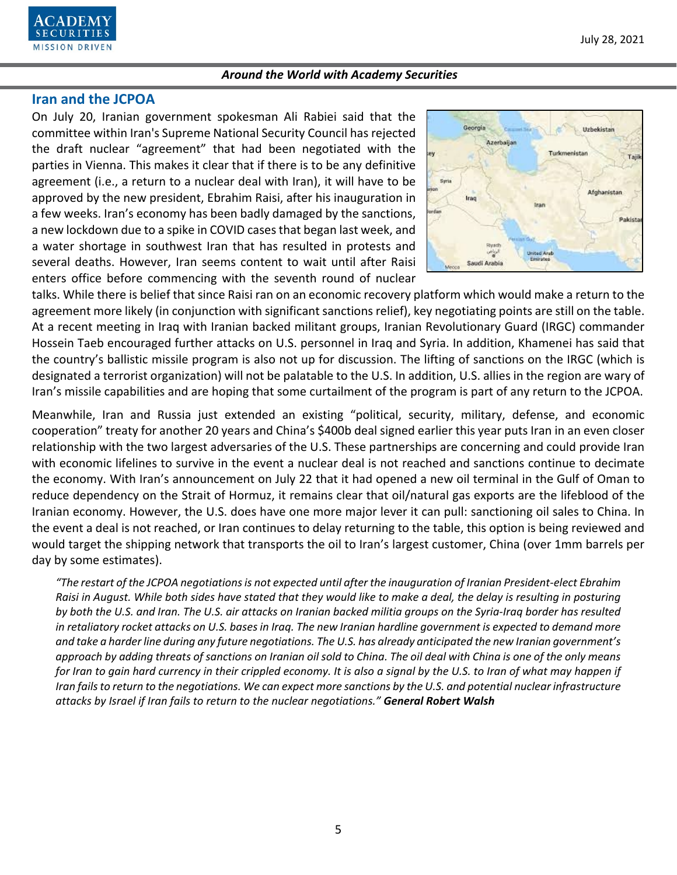

### **Iran and the JCPOA**

On July 20, Iranian government spokesman Ali Rabiei said that the committee within Iran's Supreme National Security Council has rejected the draft nuclear "agreement" that had been negotiated with the parties in Vienna. This makes it clear that if there is to be any definitive agreement (i.e., a return to a nuclear deal with Iran), it will have to be approved by the new president, Ebrahim Raisi, after his inauguration in a few weeks. Iran's economy has been badly damaged by the sanctions, a new lockdown due to a spike in COVID cases that began last week, and a water shortage in southwest Iran that has resulted in protests and several deaths. However, Iran seems content to wait until after Raisi enters office before commencing with the seventh round of nuclear



talks. While there is belief that since Raisi ran on an economic recovery platform which would make a return to the agreement more likely (in conjunction with significant sanctions relief), key negotiating points are still on the table. At a recent meeting in Iraq with Iranian backed militant groups, Iranian Revolutionary Guard (IRGC) commander Hossein Taeb encouraged further attacks on U.S. personnel in Iraq and Syria. In addition, Khamenei has said that the country's ballistic missile program is also not up for discussion. The lifting of sanctions on the IRGC (which is designated a terrorist organization) will not be palatable to the U.S. In addition, U.S. allies in the region are wary of Iran's missile capabilities and are hoping that some curtailment of the program is part of any return to the JCPOA.

Meanwhile, Iran and Russia just extended an existing "political, security, military, defense, and economic cooperation" treaty for another 20 years and China's \$400b deal signed earlier this year puts Iran in an even closer relationship with the two largest adversaries of the U.S. These partnerships are concerning and could provide Iran with economic lifelines to survive in the event a nuclear deal is not reached and sanctions continue to decimate the economy. With Iran's announcement on July 22 that it had opened a new oil terminal in the Gulf of Oman to reduce dependency on the Strait of Hormuz, it remains clear that oil/natural gas exports are the lifeblood of the Iranian economy. However, the U.S. does have one more major lever it can pull: sanctioning oil sales to China. In the event a deal is not reached, or Iran continues to delay returning to the table, this option is being reviewed and would target the shipping network that transports the oil to Iran's largest customer, China (over 1mm barrels per day by some estimates).

*"The restart of the JCPOA negotiations is not expected until after the inauguration of Iranian President-elect Ebrahim Raisi in August. While both sides have stated that they would like to make a deal, the delay is resulting in posturing by both the U.S. and Iran. The U.S. air attacks on Iranian backed militia groups on the Syria-Iraq border has resulted in retaliatory rocket attacks on U.S. bases in Iraq. The new Iranian hardline government is expected to demand more and take a harder line during any future negotiations. The U.S. has already anticipated the new Iranian government's approach by adding threats of sanctions on Iranian oil sold to China. The oil deal with China is one of the only means for Iran to gain hard currency in their crippled economy. It is also a signal by the U.S. to Iran of what may happen if Iran fails to return to the negotiations. We can expect more sanctions by the U.S. and potential nuclear infrastructure attacks by Israel if Iran fails to return to the nuclear negotiations." General Robert Walsh*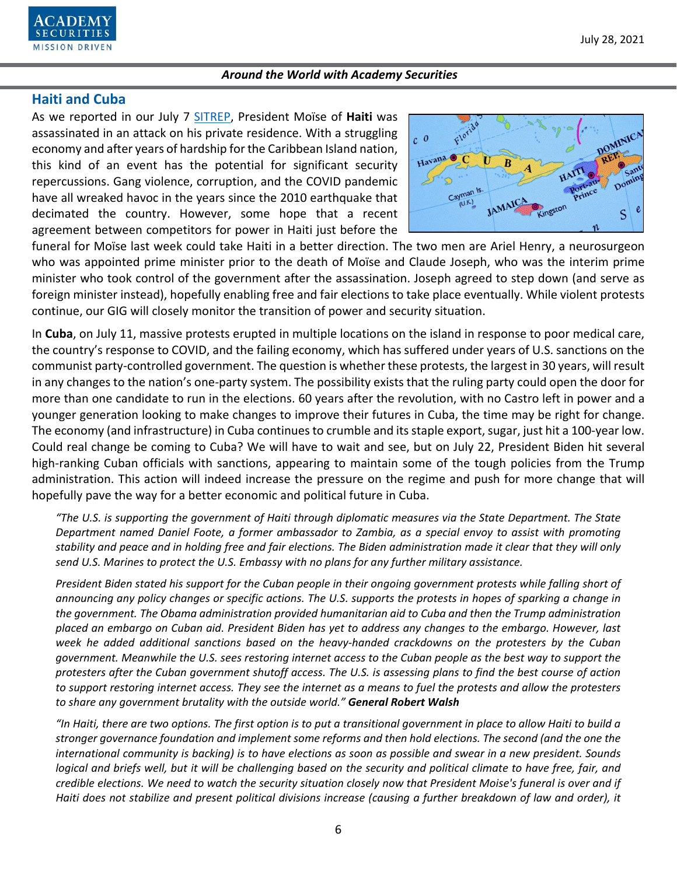

## **Haiti and Cuba**

As we reported in our July 7 [SITREP,](https://www.academysecurities.com/the-assassination-of-haitis-president-jovenel-moise/) President Moïse of **Haiti** was assassinated in an attack on his private residence. With a struggling economy and after years of hardship for the Caribbean Island nation, this kind of an event has the potential for significant security repercussions. Gang violence, corruption, and the COVID pandemic have all wreaked havoc in the years since the 2010 earthquake that decimated the country. However, some hope that a recent agreement between competitors for power in Haiti just before the



funeral for Moïse last week could take Haiti in a better direction. The two men are Ariel Henry, a neurosurgeon who was appointed prime minister prior to the death of Moïse and Claude Joseph, who was the interim prime minister who took control of the government after the assassination. Joseph agreed to step down (and serve as foreign minister instead), hopefully enabling free and fair elections to take place eventually. While violent protests continue, our GIG will closely monitor the transition of power and security situation.

In **Cuba**, on July 11, massive protests erupted in multiple locations on the island in response to poor medical care, the country's response to COVID, and the failing economy, which has suffered under years of U.S. sanctions on the communist party-controlled government. The question is whether these protests, the largest in 30 years, will result in any changes to the nation's one-party system. The possibility exists that the ruling party could open the door for more than one candidate to run in the elections. 60 years after the revolution, with no Castro left in power and a younger generation looking to make changes to improve their futures in Cuba, the time may be right for change. The economy (and infrastructure) in Cuba continues to crumble and its staple export, sugar, just hit a 100-year low. Could real change be coming to Cuba? We will have to wait and see, but on July 22, President Biden hit several high-ranking Cuban officials with sanctions, appearing to maintain some of the tough policies from the Trump administration. This action will indeed increase the pressure on the regime and push for more change that will hopefully pave the way for a better economic and political future in Cuba.

*"The U.S. is supporting the government of Haiti through diplomatic measures via the State Department. The State Department named Daniel Foote, a former ambassador to Zambia, as a special envoy to assist with promoting stability and peace and in holding free and fair elections. The Biden administration made it clear that they will only send U.S. Marines to protect the U.S. Embassy with no plans for any further military assistance.*

*President Biden stated his support for the Cuban people in their ongoing government protests while falling short of announcing any policy changes or specific actions. The U.S. supports the protests in hopes of sparking a change in the government. The Obama administration provided humanitarian aid to Cuba and then the Trump administration placed an embargo on Cuban aid. President Biden has yet to address any changes to the embargo. However, last week he added additional sanctions based on the heavy-handed crackdowns on the protesters by the Cuban government. Meanwhile the U.S. sees restoring internet access to the Cuban people as the best way to support the protesters after the Cuban government shutoff access. The U.S. is assessing plans to find the best course of action to support restoring internet access. They see the internet as a means to fuel the protests and allow the protesters to share any government brutality with the outside world." General Robert Walsh*

*"In Haiti, there are two options. The first option is to put a transitional government in place to allow Haiti to build a stronger governance foundation and implement some reforms and then hold elections. The second (and the one the international community is backing) is to have elections as soon as possible and swear in a new president. Sounds logical and briefs well, but it will be challenging based on the security and political climate to have free, fair, and credible elections. We need to watch the security situation closely now that President Moise's funeral is over and if Haiti does not stabilize and present political divisions increase (causing a further breakdown of law and order), it*